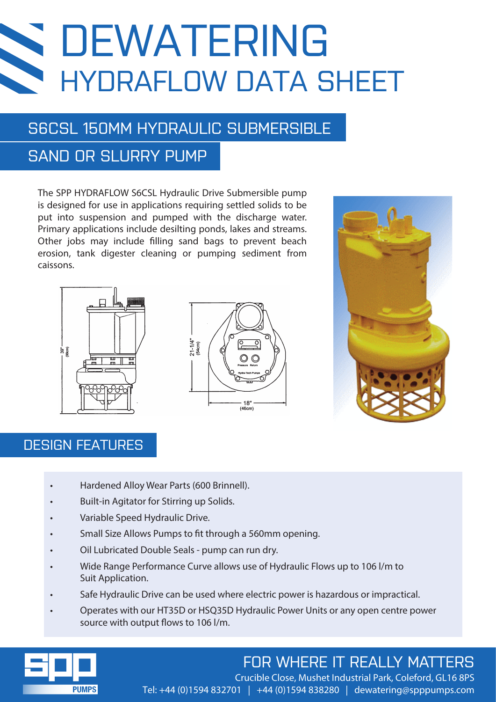# DEWATERING HYDRAFLOW DATA SHEET

### S6CSL 150MM HYDRAULIC SUBMERSIBLE

## SAND OR SLURRY PUMP

The SPP HYDRAFLOW S6CSL Hydraulic Drive Submersible pump is designed for use in applications requiring settled solids to be put into suspension and pumped with the discharge water. Primary applications include desilting ponds, lakes and streams. Other jobs may include filling sand bags to prevent beach erosion, tank digester cleaning or pumping sediment from caissons.







#### DESIGN FEATURES

- Hardened Alloy Wear Parts (600 Brinnell).
- Built-in Agitator for Stirring up Solids.
- Variable Speed Hydraulic Drive.
- Small Size Allows Pumps to fit through a 560mm opening.
- Oil Lubricated Double Seals pump can run dry.
- Wide Range Performance Curve allows use of Hydraulic Flows up to 106 l/m to Suit Application.
- Safe Hydraulic Drive can be used where electric power is hazardous or impractical.
- Operates with our HT35D or HSQ35D Hydraulic Power Units or any open centre power source with output flows to 106 l/m.



## FOR WHERE IT REALLY MATTERS

Crucible Close, Mushet Industrial Park, Coleford, GL16 8PS Tel: +44 (0)1594 832701 | +44 (0)1594 838280 | dewatering@spppumps.com